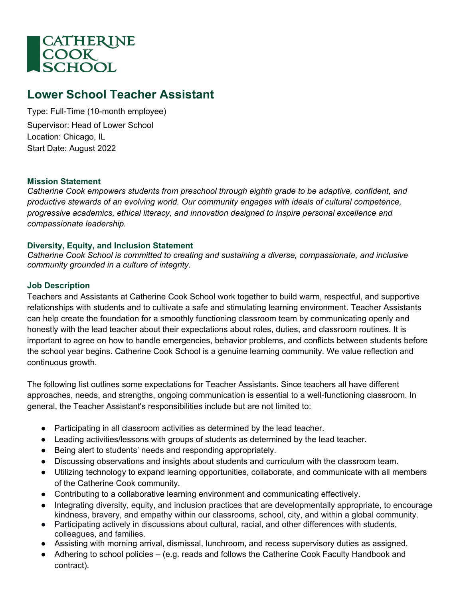

# **Lower School Teacher Assistant**

Type: Full-Time (10-month employee) Supervisor: Head of Lower School Location: Chicago, IL Start Date: August 2022

#### **Mission Statement**

*Catherine Cook empowers students from preschool through eighth grade to be adaptive, confident, and productive stewards of an evolving world. Our community engages with ideals of cultural competence, progressive academics, ethical literacy, and innovation designed to inspire personal excellence and compassionate leadership.*

## **Diversity, Equity, and Inclusion Statement**

*Catherine Cook School is committed to creating and sustaining a diverse, compassionate, and inclusive community grounded in a culture of integrity.* 

## **Job Description**

Teachers and Assistants at Catherine Cook School work together to build warm, respectful, and supportive relationships with students and to cultivate a safe and stimulating learning environment. Teacher Assistants can help create the foundation for a smoothly functioning classroom team by communicating openly and honestly with the lead teacher about their expectations about roles, duties, and classroom routines. It is important to agree on how to handle emergencies, behavior problems, and conflicts between students before the school year begins. Catherine Cook School is a genuine learning community. We value reflection and continuous growth.

The following list outlines some expectations for Teacher Assistants. Since teachers all have different approaches, needs, and strengths, ongoing communication is essential to a well-functioning classroom. In general, the Teacher Assistant's responsibilities include but are not limited to:

- Participating in all classroom activities as determined by the lead teacher.
- Leading activities/lessons with groups of students as determined by the lead teacher.
- Being alert to students' needs and responding appropriately.
- Discussing observations and insights about students and curriculum with the classroom team.
- Utilizing technology to expand learning opportunities, collaborate, and communicate with all members of the Catherine Cook community.
- Contributing to a collaborative learning environment and communicating effectively.
- Integrating diversity, equity, and inclusion practices that are developmentally appropriate, to encourage kindness, bravery, and empathy within our classrooms, school, city, and within a global community.
- Participating actively in discussions about cultural, racial, and other differences with students, colleagues, and families.
- Assisting with morning arrival, dismissal, lunchroom, and recess supervisory duties as assigned.
- Adhering to school policies (e.g. reads and follows the Catherine Cook Faculty Handbook and contract).